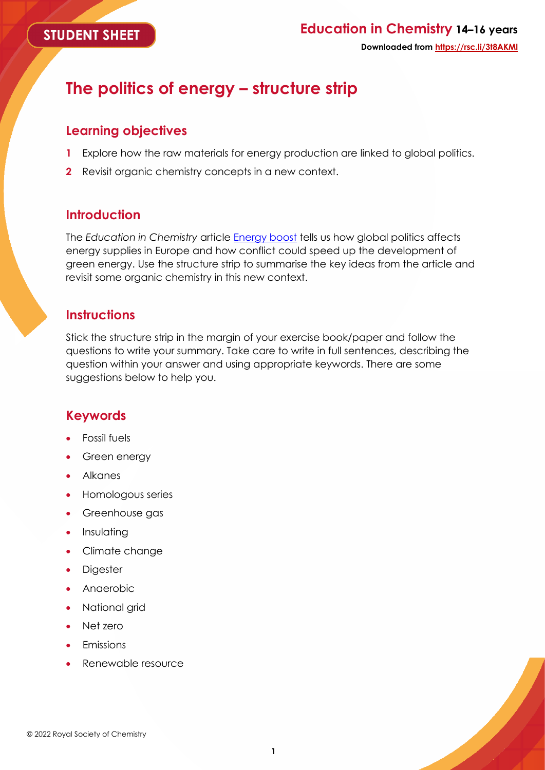#### **STUDENT SHEET**

## **Education in Chemistry 14–16 years Downloaded from https://rsc.li/3t8AKMl**

# **The politics of energy – structure strip**

#### **Learning objectives**

- **1** Explore how the raw materials for energy production are linked to global politics.
- **2** Revisit organic chemistry concepts in a new context.

#### **Introduction**

The *Education in Chemistry* article [Energy boost](https://rsc.li/3t8AKMl) tells us how global politics affects energy supplies in Europe and how conflict could speed up the development of green energy. Use the structure strip to summarise the key ideas from the article and revisit some organic chemistry in this new context.

#### **Instructions**

Stick the structure strip in the margin of your exercise book/paper and follow the questions to write your summary. Take care to write in full sentences, describing the question within your answer and using appropriate keywords. There are some suggestions below to help you.

### **Keywords**

- Fossil fuels
- Green energy
- Alkanes
- Homologous series
- Greenhouse gas
- Insulating
- Climate change
- Digester
- Anaerobic
- National grid
- Net zero
- **Emissions**
- Renewable resource